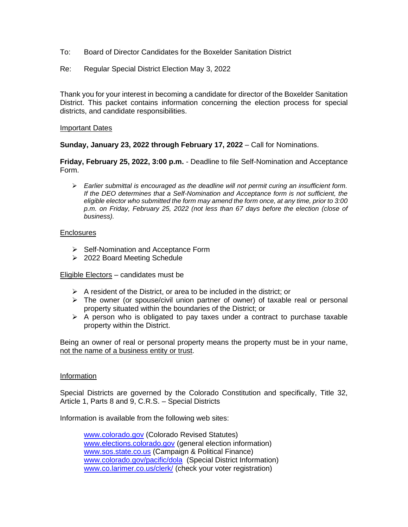- To: Board of Director Candidates for the Boxelder Sanitation District
- Re: Regular Special District Election May 3, 2022

Thank you for your interest in becoming a candidate for director of the Boxelder Sanitation District. This packet contains information concerning the election process for special districts, and candidate responsibilities.

#### Important Dates

**Sunday, January 23, 2022 through February 17, 2022** – Call for Nominations.

**Friday, February 25, 2022, 3:00 p.m.** - Deadline to file Self-Nomination and Acceptance Form.

➢ *Earlier submittal is encouraged as the deadline will not permit curing an insufficient form. If the DEO determines that a Self-Nomination and Acceptance form is not sufficient, the eligible elector who submitted the form may amend the form once, at any time, prior to 3:00 p.m. on Friday, February 25, 2022 (not less than 67 days before the election (close of business).*

### Enclosures

- ➢ Self-Nomination and Acceptance Form
- ➢ 2022 Board Meeting Schedule

Eligible Electors – candidates must be

- $\triangleright$  A resident of the District, or area to be included in the district; or
- $\triangleright$  The owner (or spouse/civil union partner of owner) of taxable real or personal property situated within the boundaries of the District; or
- $\triangleright$  A person who is obligated to pay taxes under a contract to purchase taxable property within the District.

Being an owner of real or personal property means the property must be in your name, not the name of a business entity or trust.

### Information

Special Districts are governed by the Colorado Constitution and specifically, Title 32, Article 1, Parts 8 and 9, C.R.S. – Special Districts

Information is available from the following web sites:

[www.colorado.gov](http://www.colorado.gov/) (Colorado Revised Statutes) [www.elections.colorado.gov](http://www.elections.colorado.gov/) (general election information) [www.sos.state.co.us](http://www.sos.state.co.us/) (Campaign & Political Finance) [www.colorado.gov/pacific/dola](http://www.colorado.gov/pacific/dola) (Special District Information) [www.co.larimer.co.us/clerk/](http://www.co.larimer.co.us/clerk/) (check your voter registration)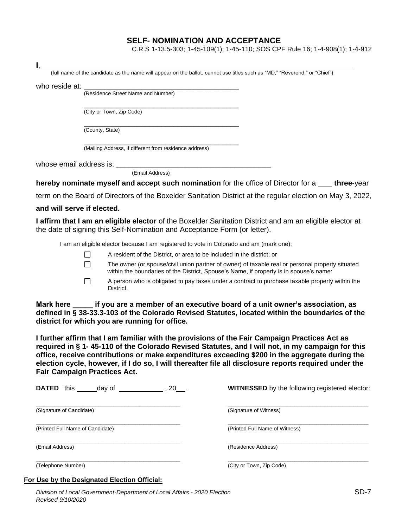## **SELF- NOMINATION AND ACCEPTANCE**

C.R.S 1-13.5-303; 1-45-109(1); 1-45-110; SOS CPF Rule 16; 1-4-908(1); 1-4-912

| I.,                                 |                 |                                                                                                                            |                                                                                                                                                                                                                                                                                                             |
|-------------------------------------|-----------------|----------------------------------------------------------------------------------------------------------------------------|-------------------------------------------------------------------------------------------------------------------------------------------------------------------------------------------------------------------------------------------------------------------------------------------------------------|
|                                     |                 | (full name of the candidate as the name will appear on the ballot, cannot use titles such as "MD," "Reverend," or "Chief") |                                                                                                                                                                                                                                                                                                             |
| who reside at:                      |                 |                                                                                                                            |                                                                                                                                                                                                                                                                                                             |
|                                     |                 | (Residence Street Name and Number)                                                                                         |                                                                                                                                                                                                                                                                                                             |
|                                     |                 | (City or Town, Zip Code)                                                                                                   |                                                                                                                                                                                                                                                                                                             |
|                                     |                 |                                                                                                                            |                                                                                                                                                                                                                                                                                                             |
|                                     | (County, State) |                                                                                                                            |                                                                                                                                                                                                                                                                                                             |
|                                     |                 | (Mailing Address, if different from residence address)                                                                     |                                                                                                                                                                                                                                                                                                             |
|                                     |                 |                                                                                                                            |                                                                                                                                                                                                                                                                                                             |
|                                     |                 | (Email Address)                                                                                                            |                                                                                                                                                                                                                                                                                                             |
|                                     |                 |                                                                                                                            | hereby nominate myself and accept such nomination for the office of Director for a <u>sectified</u> -                                                                                                                                                                                                       |
|                                     |                 |                                                                                                                            | term on the Board of Directors of the Boxelder Sanitation District at the regular election on May 3, 2022,                                                                                                                                                                                                  |
| and will serve if elected.          |                 |                                                                                                                            |                                                                                                                                                                                                                                                                                                             |
|                                     |                 | the date of signing this Self-Nomination and Acceptance Form (or letter).                                                  | I affirm that I am an eligible elector of the Boxelder Sanitation District and am an eligible elector at                                                                                                                                                                                                    |
|                                     |                 | I am an eligible elector because I am registered to vote in Colorado and am (mark one):                                    |                                                                                                                                                                                                                                                                                                             |
|                                     | $\perp$         | A resident of the District, or area to be included in the district; or                                                     |                                                                                                                                                                                                                                                                                                             |
|                                     | $\Box$          | within the boundaries of the District, Spouse's Name, if property is in spouse's name:                                     | The owner (or spouse/civil union partner of owner) of taxable real or personal property situated                                                                                                                                                                                                            |
|                                     | П               | District.                                                                                                                  | A person who is obligated to pay taxes under a contract to purchase taxable property within the                                                                                                                                                                                                             |
|                                     |                 | district for which you are running for office.                                                                             | Mark here ______ if you are a member of an executive board of a unit owner's association, as<br>defined in § 38-33.3-103 of the Colorado Revised Statutes, located within the boundaries of the                                                                                                             |
| <b>Fair Campaign Practices Act.</b> |                 | I further affirm that I am familiar with the provisions of the Fair Campaign Practices Act as                              | required in § 1-45-110 of the Colorado Revised Statutes, and I will not, in my campaign for this<br>office, receive contributions or make expenditures exceeding \$200 in the aggregate during the<br>election cycle, however, if I do so, I will thereafter file all disclosure reports required under the |
|                                     |                 | <b>DATED</b> this day of 1.1, 20.                                                                                          | <b>WITNESSED</b> by the following registered elector:                                                                                                                                                                                                                                                       |
| (Signature of Candidate)            |                 |                                                                                                                            | (Signature of Witness)                                                                                                                                                                                                                                                                                      |
| (Printed Full Name of Candidate)    |                 |                                                                                                                            | (Printed Full Name of Witness)                                                                                                                                                                                                                                                                              |

**\_\_\_\_\_\_\_\_\_\_\_\_\_\_\_\_\_\_\_\_\_\_\_\_\_\_\_\_\_\_\_\_\_\_\_\_\_\_\_ \_\_\_\_\_\_\_\_\_\_\_\_\_\_\_\_\_\_\_\_\_\_\_\_\_\_\_\_\_\_\_\_\_\_\_\_\_\_** (Email Address) (Residence Address)

**\_\_\_\_\_\_\_\_\_\_\_\_\_\_\_\_\_\_\_\_\_\_\_\_\_\_\_\_\_\_\_\_\_\_\_\_\_\_\_ \_\_\_\_\_\_\_\_\_\_\_\_\_\_\_\_\_\_\_\_\_\_\_\_\_\_\_\_\_\_\_\_\_\_\_\_\_\_** (Telephone Number) (City or Town, Zip Code)

## **For Use by the Designated Election Official:**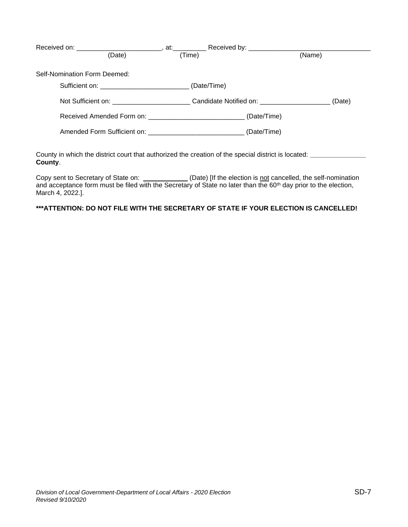| Received on: ________________________________, at:_______________________________                              | Received by: _____________________                                                                   |        |
|----------------------------------------------------------------------------------------------------------------|------------------------------------------------------------------------------------------------------|--------|
| (Date)                                                                                                         | (Time)                                                                                               | (Name) |
| Self-Nomination Form Deemed:                                                                                   |                                                                                                      |        |
|                                                                                                                | (Date/Time)                                                                                          |        |
|                                                                                                                | Not Sufficient on: ___________________________Candidate Notified on: _______________________________ | (Date) |
|                                                                                                                | Received Amended Form on: _______________________________(Date/Time)                                 |        |
|                                                                                                                | Amended Form Sufficient on: ______________________________(Date/Time)                                |        |
|                                                                                                                |                                                                                                      |        |
| County in which the district court that authorized the creation of the special district is located:<br>County. |                                                                                                      |        |

Copy sent to Secretary of State on: \_\_\_\_\_\_\_\_\_\_\_\_(Date) [If the election is not cancelled, the self-nomination and acceptance form must be filed with the Secretary of State no later than the  $60<sup>th</sup>$  day prior to the election, March 4, 2022.].

## **\*\*\*ATTENTION: DO NOT FILE WITH THE SECRETARY OF STATE IF YOUR ELECTION IS CANCELLED!**